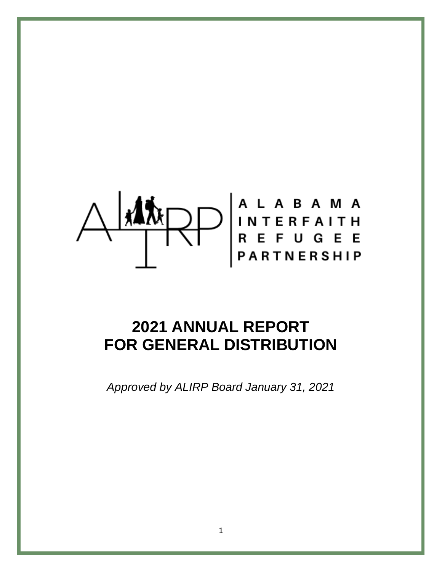# $\left|\left|\left|\left|\left|\left|\left|\left|\right|\right|\right|\right|\right|\right|\right|$  ALABAMA<br>  $R$ EFUGEE

# **2021 ANNUAL REPORT FOR GENERAL DISTRIBUTION**

*Approved by ALIRP Board January 31, 2021*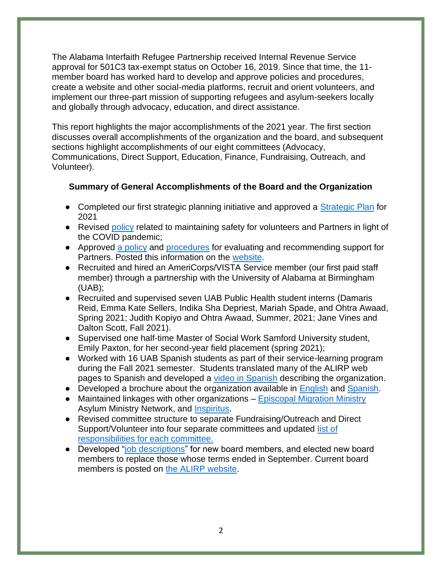The Alabama Interfaith Refugee Partnership received Internal Revenue Service approval for 501C3 tax-exempt status on October 16, 2019. Since that time, the 11 member board has worked hard to develop and approve policies and procedures, create a website and other social-media platforms, recruit and orient volunteers, and implement our three-part mission of supporting refugees and asylum-seekers locally and globally through advocacy, education, and direct assistance.

This report highlights the major accomplishments of the 2021 year. The first section discusses overall accomplishments of the organization and the board, and subsequent sections highlight accomplishments of our eight committees (Advocacy, Communications, Direct Support, Education, Finance, Fundraising, Outreach, and Volunteer).

# **Summary of General Accomplishments of the Board and the Organization**

- Completed our first strategic planning initiative and approved a [Strategic Plan](https://docs.google.com/document/d/1FfeuCqET_BjV4BlBgmDImtD197JRZVAg/edit?usp=sharing&ouid=109909878316670898269&rtpof=true&sd=true) for 2021
- Revised [policy](https://www.alirp.org/covid-19-safety-policy.html) related to maintaining safety for volunteers and Partners in light of the COVID pandemic;
- Approved [a policy](https://docs.google.com/document/d/18nLBlqILVASwUF89GJWYBpYPl3aVClbQ/edit) and [procedures](https://drive.google.com/drive/u/0/folders/117wUVkD7WDmyuJzIWOk-K2as4prPJ4Xa) for evaluating and recommending support for Partners. Posted this information on the [website.](https://www.alirp.org/alirp-guidelines-for-support.html)
- Recruited and hired an AmeriCorps/VISTA Service member (our first paid staff member) through a partnership with the University of Alabama at Birmingham (UAB);
- Recruited and supervised seven UAB Public Health student interns (Damaris Reid, Emma Kate Sellers, Indika Sha Depriest, Mariah Spade, and Ohtra Awaad, Spring 2021; Judith Kopiyo and Ohtra Awaad, Summer, 2021; Jane Vines and Dalton Scott, Fall 2021).
- Supervised one half-time Master of Social Work Samford University student, Emily Paxton, for her second-year field placement (spring 2021);
- Worked with 16 UAB Spanish students as part of their service-learning program during the Fall 2021 semester. Students translated many of the ALIRP web pages to Spanish and developed a [video in Spanish](https://www.youtube.com/watch?v=l3u-Ki_S1LA&t=4s) describing the organization.
- Developed a brochure about the organization available in [English](https://www.alirp.org/uploads/1/3/0/2/130275824/tri_fold_alrip_brochure_in_english.pdf) and [Spanish.](https://www.alirp.org/uploads/1/3/0/2/130275824/tri_fold_alrip_brochure_in_spanish.pdf)
- Maintained linkages with other organizations [Episcopal Migration Ministry](https://episcopalmigrationministries.org/) Asylum Ministry Network, and [Inspiritus.](https://weinspirit.org/)
- Revised committee structure to separate Fundraising/Outreach and Direct Support/Volunteer into four separate committees and updated [list of](https://www.alirp.org/committees.html)  [responsibilities for each committee.](https://www.alirp.org/committees.html)
- Developed ["job descriptions"](https://drive.google.com/drive/u/0/folders/1xu_kUtKPvOAcEBL1GJ2cwRV-KFBai8Eo) for new board members, and elected new board members to replace those whose terms ended in September. Current board members is posted on [the ALIRP website.](http://www.alirp.org/board-of-directors.html)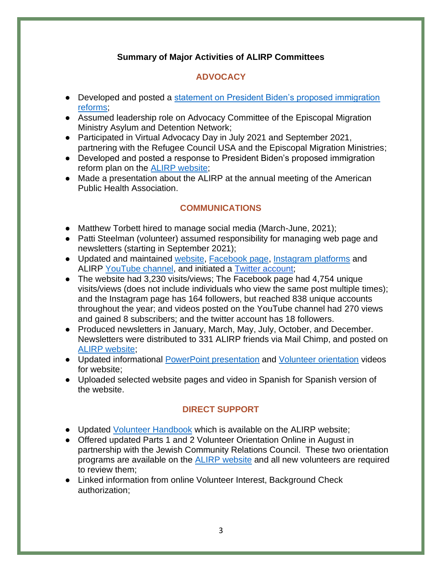# **Summary of Major Activities of ALIRP Committees**

# **ADVOCACY**

- Developed and posted a statement on President Biden's proposed immigration [reforms;](https://www.alirp.org/statement-regarding-biden-administration.html)
- Assumed leadership role on Advocacy Committee of the Episcopal Migration Ministry Asylum and Detention Network;
- Participated in Virtual Advocacy Day in July 2021 and September 2021, partnering with the Refugee Council USA and the Episcopal Migration Ministries;
- Developed and posted a response to President Biden's proposed immigration reform plan on the **ALIRP** website;
- Made a presentation about the ALIRP at the annual meeting of the American Public Health Association.

# **COMMUNICATIONS**

- Matthew Torbett hired to manage social media (March-June, 2021);
- Patti Steelman (volunteer) assumed responsibility for managing web page and newsletters (starting in September 2021);
- Updated and maintained [website,](http://www.alirp.org/) [Facebook page,](https://www.facebook.com/ALirp.org/?view_public_for=234680344141629) [Instagram platforms](https://www.instagram.com/al.irp/) and ALIRP [YouTube channel,](https://www.youtube.com/channel/UC_yyyQDZMFDXFhxZbNTcNGw) and initiated a [Twitter account;](https://twitter.com/al_irp)
- The website had 3,230 visits/views; The Facebook page had 4,754 unique visits/views (does not include individuals who view the same post multiple times); and the Instagram page has 164 followers, but reached 838 unique accounts throughout the year; and videos posted on the YouTube channel had 270 views and gained 8 subscribers; and the twitter account has 18 followers.
- Produced newsletters in January, March, May, July, October, and December. Newsletters were distributed to 331 ALIRP friends via Mail Chimp, and posted on [ALIRP website;](http://www.alirp.org/newsletter.html)
- Updated informational [PowerPoint presentation](https://docs.google.com/presentation/d/1S8G1EZSCMG3a2kNbLcBAGcaxdUUOPs-g/edit#slide=id.p1) and [Volunteer orientation](https://www.alirp.org/volunteer-orientation.html) videos for website;
- Uploaded selected website pages and video in Spanish for Spanish version of the website.

# **DIRECT SUPPORT**

- Updated [Volunteer Handbook](https://drive.google.com/file/d/1F_JvMTFJldQ--yNuGjHsAZ_GaECL4BSt/view) which is available on the ALIRP website;
- Offered updated Parts 1 and 2 Volunteer Orientation Online in August in partnership with the Jewish Community Relations Council. These two orientation programs are available on the [ALIRP website](https://www.alirp.org/volunteer-orientation.html) and all new volunteers are required to review them;
- Linked information from online Volunteer Interest, Background Check authorization;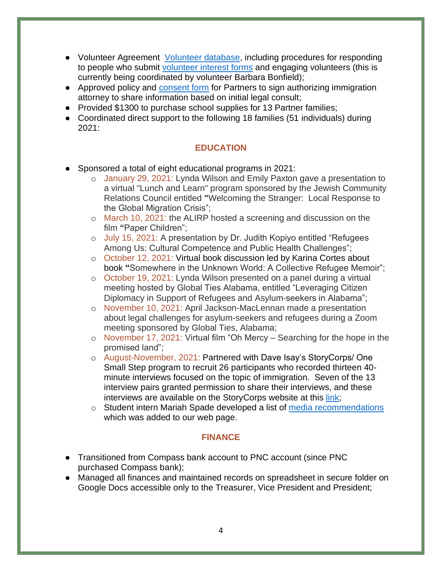- Volunteer Agreement [Volunteer database,](https://drive.google.com/drive/u/0/folders/1iRZEy4ThUFy41Iysq3wZnT7t3mn8ofkt) including procedures for responding to people who submit [volunteer interest forms](https://www.alirp.org/volunteer-interest.html) and engaging volunteers (this is currently being coordinated by volunteer Barbara Bonfield);
- Approved policy and [consent form](https://drive.google.com/drive/u/0/folders/1Stpkj3SWkYb_kERLA2S5Vuu-pxyEmgfm) for Partners to sign authorizing immigration attorney to share information based on initial legal consult;
- Provided \$1300 to purchase school supplies for 13 Partner families;
- Coordinated direct support to the following 18 families (51 individuals) during 2021:

# **EDUCATION**

- Sponsored a total of eight educational programs in 2021:
	- o January 29, 2021: Lynda Wilson and Emily Paxton gave a presentation to a virtual "Lunch and Learn" program sponsored by the Jewish Community Relations Council entitled **"**Welcoming the Stranger: Local Response to the Global Migration Crisis";
	- o March 10, 2021: the ALIRP hosted a screening and discussion on the film **"**Paper Children";
	- o July 15, 2021: A presentation by Dr. Judith Kopiyo entitled "Refugees Among Us: Cultural Competence and Public Health Challenges";
	- o October 12, 2021: Virtual book discussion led by Karina Cortes about book **"**Somewhere in the Unknown World: A Collective Refugee Memoir";
	- o October 19, 2021: Lynda Wilson presented on a panel during a virtual meeting hosted by Global Ties Alabama, entitled "Leveraging Citizen Diplomacy in Support of Refugees and Asylum-seekers in Alabama";
	- o November 10, 2021: April Jackson-MacLennan made a presentation about legal challenges for asylum-seekers and refugees during a Zoom meeting sponsored by Global Ties, Alabama;
	- o November 17, 2021: Virtual film "Oh Mercy Searching for the hope in the promised land";
	- o August-November, 2021: Partnered with Dave Isay's StoryCorps/ One Small Step program to recruit 26 participants who recorded thirteen 40 minute interviews focused on the topic of immigration. Seven of the 13 interview pairs granted permission to share their interviews, and these interviews are available on the StoryCorps website at this [link;](https://archive.storycorps.org/search/interviews/?q=&search_type=basic&search_context=interviews&page_num=1&page_size=50&sort_by=newest&view_by=grid&visibility=all&partnership%5B0%5D=oss-alabama-interfaith-refugee-partnership-2021)
	- o Student intern Mariah Spade developed a list of [media recommendations](https://www.alirp.org/media-recommendations.html) which was added to our web page.

#### **FINANCE**

- Transitioned from Compass bank account to PNC account (since PNC purchased Compass bank);
- Managed all finances and maintained records on spreadsheet in secure folder on Google Docs accessible only to the Treasurer, Vice President and President;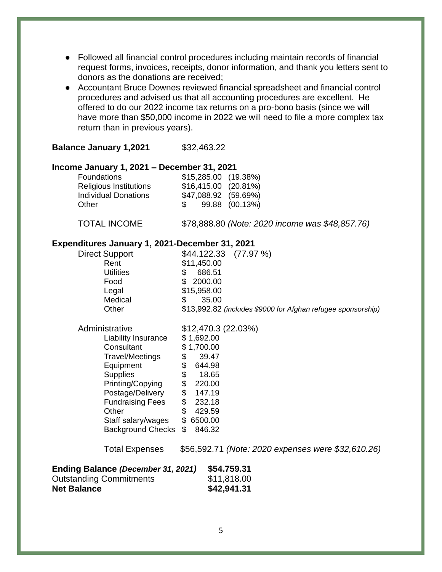- Followed all financial control procedures including maintain records of financial request forms, invoices, receipts, donor information, and thank you letters sent to donors as the donations are received;
- Accountant Bruce Downes reviewed financial spreadsheet and financial control procedures and advised us that all accounting procedures are excellent. He offered to do our 2022 income tax returns on a pro-bono basis (since we will have more than \$50,000 income in 2022 we will need to file a more complex tax return than in previous years).

#### **Balance January 1,2021** \$32,463.22

#### **Income January 1, 2021 – December 31, 2021**

| <b>Foundations</b>            | $$15,285.00$ (19.38%) |                |
|-------------------------------|-----------------------|----------------|
| <b>Religious Institutions</b> | $$16,415.00$ (20.81%) |                |
| <b>Individual Donations</b>   | \$47,088.92 (59.69%)  |                |
| Other                         | S.                    | 99.88 (00.13%) |

TOTAL INCOME \$78,888.80 *(Note: 2020 income was \$48,857.76)*

#### **Expenditures January 1, 2021-December 31, 2021**

| <b>Direct Support</b>                             | \$44.122.33<br>(77.97%)                                      |  |
|---------------------------------------------------|--------------------------------------------------------------|--|
| Rent                                              | \$11,450.00                                                  |  |
| <b>Utilities</b>                                  | 686.51<br>\$                                                 |  |
| Food                                              | \$<br>2000.00                                                |  |
| Legal                                             | \$15,958.00                                                  |  |
| Medical                                           | 35.00<br>\$                                                  |  |
| Other                                             | \$13,992.82 (includes \$9000 for Afghan refugee sponsorship) |  |
| Administrative                                    | \$12,470.3(22.03%)                                           |  |
| Liability Insurance                               | \$1,692.00                                                   |  |
| Consultant                                        | \$1,700.00                                                   |  |
| Travel/Meetings                                   | \$<br>39.47                                                  |  |
| Equipment                                         | \$<br>644.98                                                 |  |
| <b>Supplies</b>                                   | \$<br>\$<br>18.65                                            |  |
| Printing/Copying                                  | 220.00                                                       |  |
| Postage/Delivery                                  | \$<br>147.19                                                 |  |
| <b>Fundraising Fees</b>                           | \$<br>232.18                                                 |  |
| Other                                             | \$<br>429.59                                                 |  |
| Staff salary/wages                                | \$<br>6500.00                                                |  |
| <b>Background Checks</b>                          | 846.32<br>\$                                                 |  |
| <b>Total Expenses</b>                             | \$56,592.71 (Note: 2020 expenses were \$32,610.26)           |  |
| \$54.759.31<br>Ending Balance (December 31, 2021) |                                                              |  |
| <b>Outstanding Commitments</b>                    | \$11,818.00                                                  |  |
| <b>Net Balance</b>                                | \$42,941.31                                                  |  |
|                                                   |                                                              |  |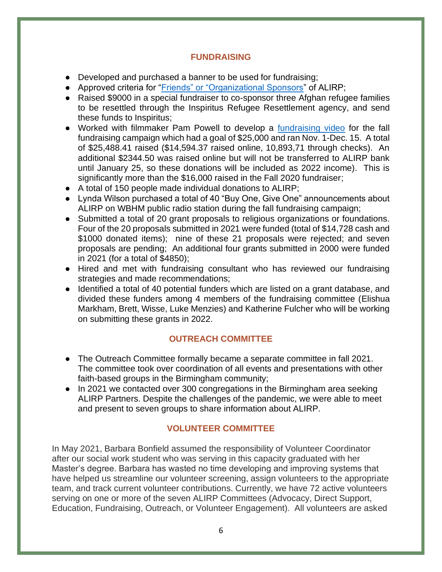#### **FUNDRAISING**

- Developed and purchased a banner to be used for fundraising;
- Approved criteria for ["Friends" or "Organizational Sponsors"](https://drive.google.com/drive/u/0/folders/19xS0SvHb17GowxYjHf9IEM0fhL0-xn3N) of ALIRP;
- Raised \$9000 in a special fundraiser to co-sponsor three Afghan refugee families to be resettled through the Inspiritus Refugee Resettlement agency, and send these funds to Inspiritus;
- Worked with filmmaker Pam Powell to develop a [fundraising video](https://www.gofundme.com/f/alirp-fall-fundraiser) for the fall fundraising campaign which had a goal of \$25,000 and ran Nov. 1-Dec. 15. A total of \$25,488.41 raised (\$14,594.37 raised online, 10,893,71 through checks). An additional \$2344.50 was raised online but will not be transferred to ALIRP bank until January 25, so these donations will be included as 2022 income). This is significantly more than the \$16,000 raised in the Fall 2020 fundraiser;
- A total of 150 people made individual donations to ALIRP;
- Lynda Wilson purchased a total of 40 "Buy One, Give One" announcements about ALIRP on WBHM public radio station during the fall fundraising campaign;
- Submitted a total of 20 grant proposals to religious organizations or foundations. Four of the 20 proposals submitted in 2021 were funded (total of \$14,728 cash and \$1000 donated items); nine of these 21 proposals were rejected; and seven proposals are pending; An additional four grants submitted in 2000 were funded in 2021 (for a total of \$4850);
- Hired and met with fundraising consultant who has reviewed our fundraising strategies and made recommendations;
- Identified a total of 40 potential funders which are listed on a grant database, and divided these funders among 4 members of the fundraising committee (Elishua Markham, Brett, Wisse, Luke Menzies) and Katherine Fulcher who will be working on submitting these grants in 2022.

# **OUTREACH COMMITTEE**

- The Outreach Committee formally became a separate committee in fall 2021. The committee took over coordination of all events and presentations with other faith-based groups in the Birmingham community;
- In 2021 we contacted over 300 congregations in the Birmingham area seeking ALIRP Partners. Despite the challenges of the pandemic, we were able to meet and present to seven groups to share information about ALIRP.

# **VOLUNTEER COMMITTEE**

In May 2021, Barbara Bonfield assumed the responsibility of Volunteer Coordinator after our social work student who was serving in this capacity graduated with her Master's degree. Barbara has wasted no time developing and improving systems that have helped us streamline our volunteer screening, assign volunteers to the appropriate team, and track current volunteer contributions. Currently, we have 72 active volunteers serving on one or more of the seven ALIRP Committees (Advocacy, Direct Support, Education, Fundraising, Outreach, or Volunteer Engagement). All volunteers are asked